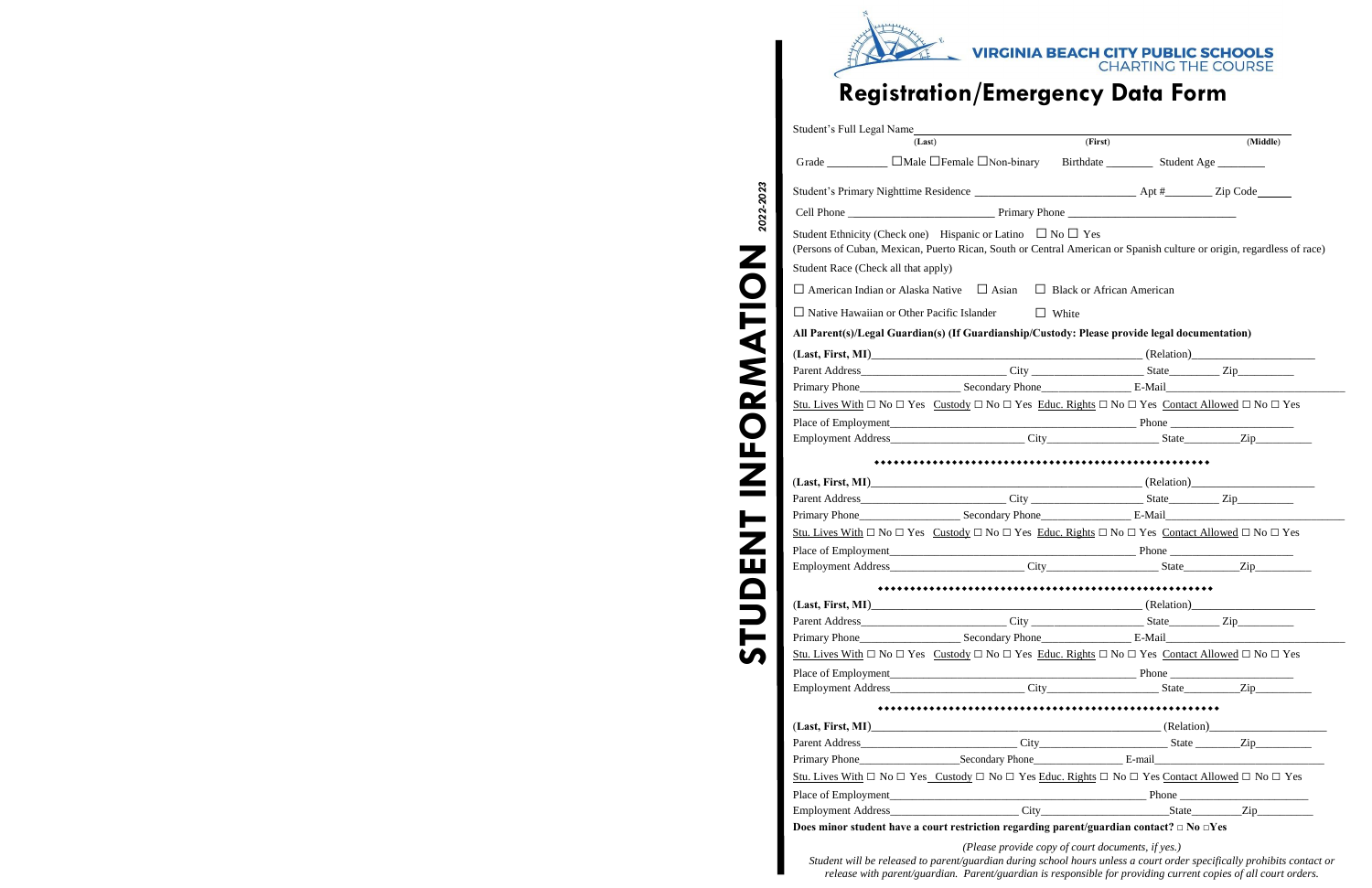

# **Registration/Emergency Data Form**

|                                     | (Last)                                                                                                                                   | (First)                          | (Middle) |
|-------------------------------------|------------------------------------------------------------------------------------------------------------------------------------------|----------------------------------|----------|
|                                     | Grade ____________ DMale DFemale DNon-binary Birthdate _________ Student Age ________                                                    |                                  |          |
|                                     |                                                                                                                                          |                                  |          |
|                                     |                                                                                                                                          |                                  |          |
|                                     | Student Ethnicity (Check one) Hispanic or Latino $\Box$ No $\Box$ Yes                                                                    |                                  |          |
|                                     | (Persons of Cuban, Mexican, Puerto Rican, South or Central American or Spanish culture or origin, regardless of race)                    |                                  |          |
| Student Race (Check all that apply) |                                                                                                                                          |                                  |          |
|                                     | $\Box$ American Indian or Alaska Native $\Box$ Asian                                                                                     | $\Box$ Black or African American |          |
|                                     | $\Box$ Native Hawaiian or Other Pacific Islander                                                                                         | $\Box$ White                     |          |
|                                     | All Parent(s)/Legal Guardian(s) (If Guardianship/Custody: Please provide legal documentation)                                            |                                  |          |
|                                     |                                                                                                                                          |                                  |          |
|                                     |                                                                                                                                          |                                  |          |
|                                     |                                                                                                                                          |                                  |          |
|                                     | Stu. Lives With $\Box$ No $\Box$ Yes Custody $\Box$ No $\Box$ Yes Educ. Rights $\Box$ No $\Box$ Yes Contact Allowed $\Box$ No $\Box$ Yes |                                  |          |
|                                     |                                                                                                                                          |                                  |          |
|                                     | Employment Address City City State Zip                                                                                                   |                                  |          |
|                                     |                                                                                                                                          |                                  |          |
|                                     |                                                                                                                                          |                                  |          |
|                                     |                                                                                                                                          |                                  |          |
|                                     |                                                                                                                                          |                                  |          |
|                                     | Stu. Lives With $\Box$ No $\Box$ Yes Custody $\Box$ No $\Box$ Yes Educ. Rights $\Box$ No $\Box$ Yes Contact Allowed $\Box$ No $\Box$ Yes |                                  |          |
|                                     |                                                                                                                                          |                                  |          |
|                                     |                                                                                                                                          |                                  |          |
|                                     |                                                                                                                                          |                                  |          |
|                                     |                                                                                                                                          |                                  |          |
|                                     |                                                                                                                                          |                                  |          |
|                                     |                                                                                                                                          |                                  |          |
|                                     | Stu. Lives With $\Box$ No $\Box$ Yes Custody $\Box$ No $\Box$ Yes Educ. Rights $\Box$ No $\Box$ Yes Contact Allowed $\Box$ No $\Box$ Yes |                                  |          |
|                                     |                                                                                                                                          |                                  |          |
|                                     |                                                                                                                                          |                                  |          |
|                                     |                                                                                                                                          |                                  |          |
|                                     |                                                                                                                                          |                                  |          |
|                                     |                                                                                                                                          |                                  |          |
|                                     | Primary Phone Secondary Phone E-mail E-mail                                                                                              |                                  |          |
|                                     | Stu. Lives With $\Box$ No $\Box$ Yes Custody $\Box$ No $\Box$ Yes Educ. Rights $\Box$ No $\Box$ Yes Contact Allowed $\Box$ No $\Box$ Yes |                                  |          |
|                                     |                                                                                                                                          |                                  |          |
|                                     | Does minor student have a court restriction regarding parent/guardian contact? $\Box$ No $\Box$ Yes                                      |                                  |          |
|                                     |                                                                                                                                          |                                  |          |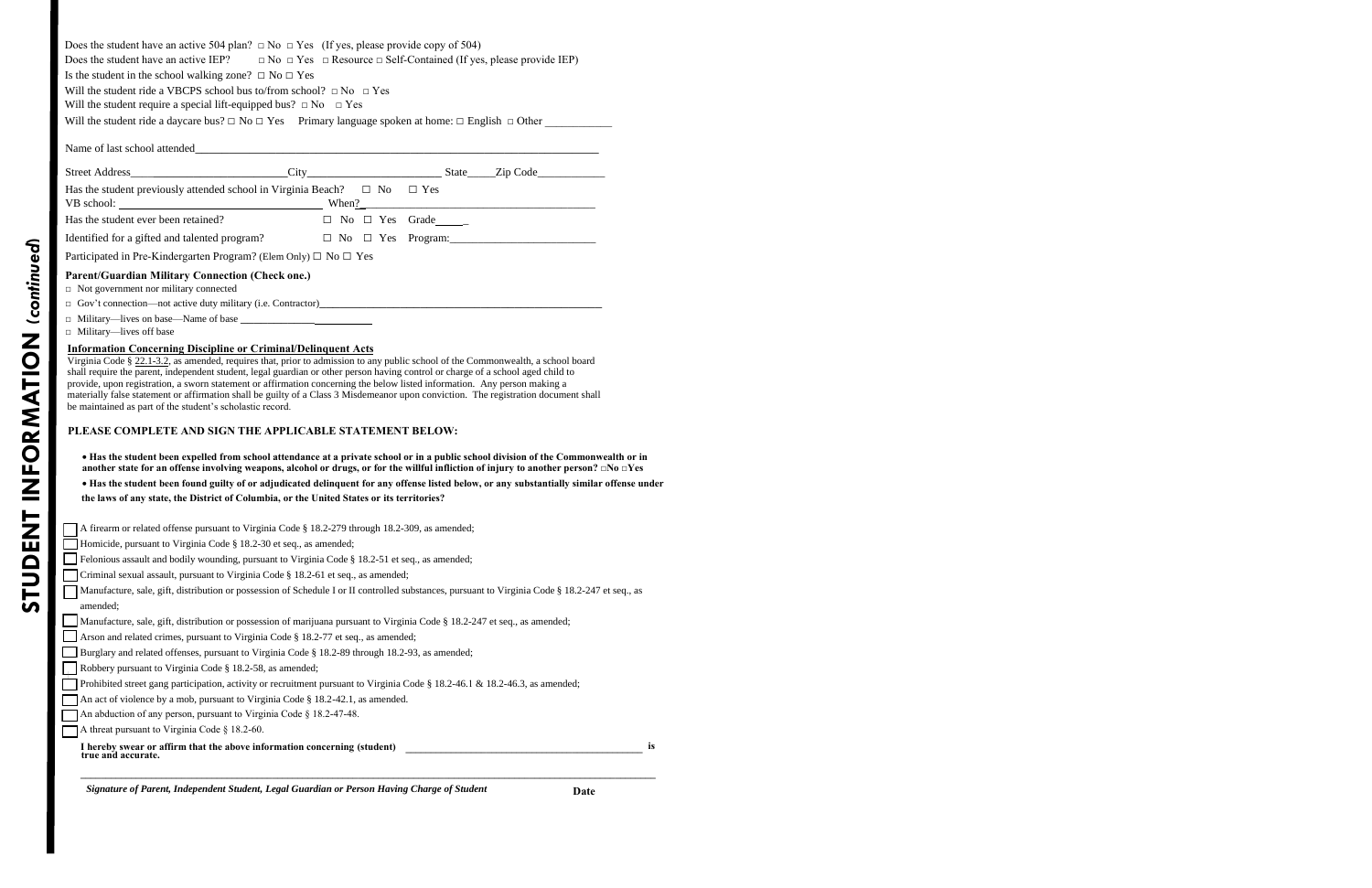| Does the student have an active 504 plan? $\Box$ No $\Box$ Yes (If yes, please provide copy of 504)                                                                                                                                                                                                                                                                                                                                                                                                                                                                                                                                                                           |  |                                                                                                                                           |
|-------------------------------------------------------------------------------------------------------------------------------------------------------------------------------------------------------------------------------------------------------------------------------------------------------------------------------------------------------------------------------------------------------------------------------------------------------------------------------------------------------------------------------------------------------------------------------------------------------------------------------------------------------------------------------|--|-------------------------------------------------------------------------------------------------------------------------------------------|
| Does the student have an active IEP? $\Box$ No $\Box$ Yes $\Box$ Resource $\Box$ Self-Contained (If yes, please provide IEP)                                                                                                                                                                                                                                                                                                                                                                                                                                                                                                                                                  |  |                                                                                                                                           |
| Is the student in the school walking zone? $\Box$ No $\Box$ Yes<br>Will the student ride a VBCPS school bus to/from school? $\Box$ No $\Box$ Yes                                                                                                                                                                                                                                                                                                                                                                                                                                                                                                                              |  |                                                                                                                                           |
| Will the student require a special lift-equipped bus? $\Box$ No $\Box$ Yes                                                                                                                                                                                                                                                                                                                                                                                                                                                                                                                                                                                                    |  |                                                                                                                                           |
| Will the student ride a daycare bus? $\Box$ No $\Box$ Yes Primary language spoken at home: $\Box$ English $\Box$ Other                                                                                                                                                                                                                                                                                                                                                                                                                                                                                                                                                        |  |                                                                                                                                           |
|                                                                                                                                                                                                                                                                                                                                                                                                                                                                                                                                                                                                                                                                               |  |                                                                                                                                           |
|                                                                                                                                                                                                                                                                                                                                                                                                                                                                                                                                                                                                                                                                               |  |                                                                                                                                           |
|                                                                                                                                                                                                                                                                                                                                                                                                                                                                                                                                                                                                                                                                               |  |                                                                                                                                           |
| Has the student previously attended school in Virginia Beach? $\Box$ No $\Box$ Yes                                                                                                                                                                                                                                                                                                                                                                                                                                                                                                                                                                                            |  |                                                                                                                                           |
| Has the student ever been retained? $\Box$ No $\Box$ Yes Grade                                                                                                                                                                                                                                                                                                                                                                                                                                                                                                                                                                                                                |  |                                                                                                                                           |
|                                                                                                                                                                                                                                                                                                                                                                                                                                                                                                                                                                                                                                                                               |  |                                                                                                                                           |
| Participated in Pre-Kindergarten Program? (Elem Only) $\Box$ No $\Box$ Yes                                                                                                                                                                                                                                                                                                                                                                                                                                                                                                                                                                                                    |  |                                                                                                                                           |
| <b>Parent/Guardian Military Connection (Check one.)</b><br>$\Box$ Not government nor military connected<br>$\Box$ Gov't connection—not active duty military (i.e. Contractor)                                                                                                                                                                                                                                                                                                                                                                                                                                                                                                 |  |                                                                                                                                           |
| $\Box$ Military—lives off base                                                                                                                                                                                                                                                                                                                                                                                                                                                                                                                                                                                                                                                |  |                                                                                                                                           |
| <b>Information Concerning Discipline or Criminal/Delinquent Acts</b><br>Virginia Code § 22.1-3.2, as amended, requires that, prior to admission to any public school of the Commonwealth, a school board<br>shall require the parent, independent student, legal guardian or other person having control or charge of a school aged child to<br>provide, upon registration, a sworn statement or affirmation concerning the below listed information. Any person making a<br>materially false statement or affirmation shall be guilty of a Class 3 Misdemeanor upon conviction. The registration document shall<br>be maintained as part of the student's scholastic record. |  |                                                                                                                                           |
| PLEASE COMPLETE AND SIGN THE APPLICABLE STATEMENT BELOW:                                                                                                                                                                                                                                                                                                                                                                                                                                                                                                                                                                                                                      |  |                                                                                                                                           |
| another state for an offense involving weapons, alcohol or drugs, or for the willful infliction of injury to another person? $\Box$ No $\Box$ Yes                                                                                                                                                                                                                                                                                                                                                                                                                                                                                                                             |  | • Has the student been expelled from school attendance at a private school or in a public school division of the Commonwealth or in       |
| the laws of any state, the District of Columbia, or the United States or its territories?                                                                                                                                                                                                                                                                                                                                                                                                                                                                                                                                                                                     |  | . Has the student been found guilty of or adjudicated delinquent for any offense listed below, or any substantially similar offense under |

| A firearm or related offense pursuant to Virginia Code § 18.2-279 through 18.2-309, as amended;                                                 |    |
|-------------------------------------------------------------------------------------------------------------------------------------------------|----|
| Homicide, pursuant to Virginia Code § 18.2-30 et seq., as amended;                                                                              |    |
| Felonious assault and bodily wounding, pursuant to Virginia Code $\S$ 18.2-51 et seq., as amended;                                              |    |
| Criminal sexual assault, pursuant to Virginia Code § 18.2-61 et seq., as amended;                                                               |    |
| Manufacture, sale, gift, distribution or possession of Schedule I or II controlled substances, pursuant to Virginia Code § 18.2-247 et seq., as |    |
| amended;                                                                                                                                        |    |
| Manufacture, sale, gift, distribution or possession of marijuana pursuant to Virginia Code § 18.2-247 et seq., as amended;                      |    |
| Arson and related crimes, pursuant to Virginia Code § 18.2-77 et seq., as amended;                                                              |    |
| Burglary and related offenses, pursuant to Virginia Code § 18.2-89 through 18.2-93, as amended;                                                 |    |
| Robbery pursuant to Virginia Code § 18.2-58, as amended;                                                                                        |    |
| Prohibited street gang participation, activity or recruitment pursuant to Virginia Code § 18.2-46.1 & 18.2-46.3, as amended;                    |    |
| An act of violence by a mob, pursuant to Virginia Code § 18.2-42.1, as amended.                                                                 |    |
| An abduction of any person, pursuant to Virginia Code § 18.2-47-48.                                                                             |    |
| A threat pursuant to Virginia Code $\S$ 18.2-60.                                                                                                |    |
| I hereby swear or affirm that the above information concerning (student) true and accurate.                                                     | İS |
|                                                                                                                                                 |    |

*Signature of Parent, Independent Student, Legal Guardian or Person Having Charge of Student* **Date Date**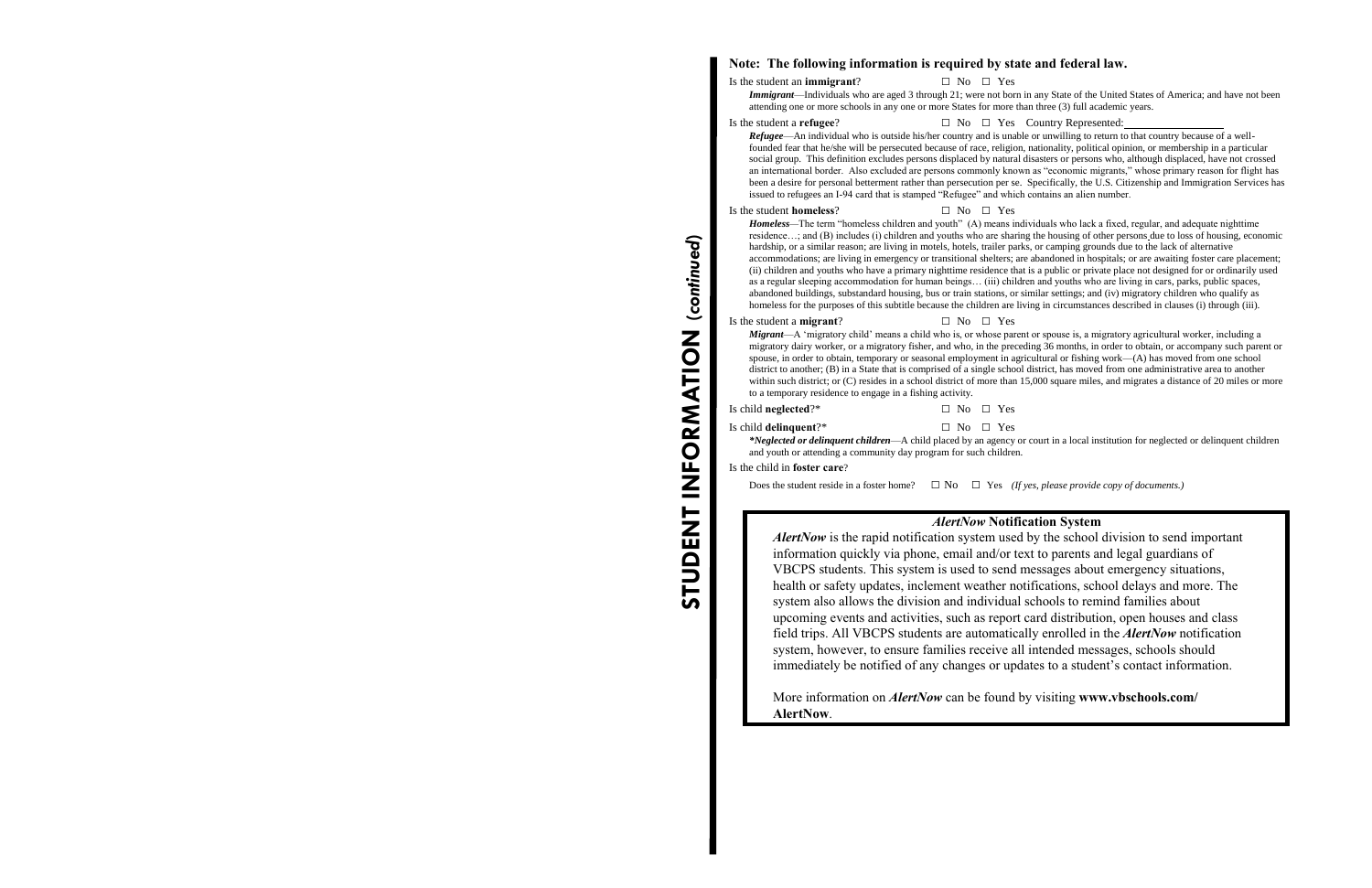### **Note: The following information is required by state and federal law.**

#### Is the student an **immigrant**?

 $\Box$  No  $\Box$  Yes

 *Immigrant*—Individuals who are aged 3 through 21; were not born in any State of the United States of America; and have not been attending one or more schools in any one or more States for more than three (3) full academic years.

## Is the student a **refugee**? □ No □ Yes Country Represented:

 *Refugee*—An individual who is outside his/her country and is unable or unwilling to return to that country because of a well- founded fear that he/she will be persecuted because of race, religion, nationality, political opinion, or membership in a particular social group. This definition excludes persons displaced by natural disasters or persons who, although displaced, have not crossed an international border. Also excluded are persons commonly known as "economic migrants," whose primary reason for flight has been a desire for personal betterment rather than persecution per se. Specifically, the U.S. Citizenship and Immigration Services has issued to refugees an I-94 card that is stamped "Refugee" and which contains an alien number.

#### Is the student **homeless**?

 $\Box$  No  $\Box$  Yes

 *Homeless—*The term "homeless children and youth" (A) means individuals who lack a fixed, regular, and adequate nighttime residence…; and (B) includes (i) children and youths who are sharing the housing of other persons due to loss of housing, economic hardship, or a similar reason; are living in motels, hotels, trailer parks, or camping grounds due to the lack of alternative accommodations; are living in emergency or transitional shelters; are abandoned in hospitals; or are awaiting foster care placement; (ii) children and youths who have a primary nighttime residence that is a public or private place not designed for or ordinarily used as a regular sleeping accommodation for human beings… (iii) children and youths who are living in cars, parks, public spaces, abandoned buildings, substandard housing, bus or train stations, or similar settings; and (iv) migratory children who qualify as homeless for the purposes of this subtitle because the children are living in circumstances described in clauses (i) through (iii).

#### Is the student a **migrant**?

#### $\Box$  No  $\Box$  Yes

 *Migrant*—A 'migratory child' means a child who is, or whose parent or spouse is, a migratory agricultural worker, including a migratory dairy worker, or a migratory fisher, and who, in the preceding 36 months, in order to obtain, or accompany such parent or spouse, in order to obtain, temporary or seasonal employment in agricultural or fishing work—(A) has moved from one school district to another; (B) in a State that is comprised of a single school district, has moved from one administrative area to another within such district; or (C) resides in a school district of more than 15,000 square miles, and migrates a distance of 20 miles or more to a temporary residence to engage in a fishing activity.

## Is child **neglected**?\* □ No □ Yes

## Is child **delinquent**?\* □ No □ Yes

 *\*Neglected or delinquent children*—A child placed by an agency or court in a local institution for neglected or delinquent children and youth or attending a community day program for such children.

#### Is the child in **foster care**?

Does the student reside in a foster home? Does the student reside in a foster home?  $\Box$  No  $\Box$  Yes *(If yes, please provide copy of documents.)* 

#### *AlertNow* **Notification System**

 VBCPS students. This system is used to send messages about emergency situations, upcoming events and activities, such as report card distribution, open houses and class system, nowever, to ensure rammes receive an intended messages, schools should<br>immediately be notified of any changes or updates to a student's contact information. *AlertNow* is the rapid notification system used by the school division to send important information quickly via phone, email and/or text to parents and legal guardians of health or safety updates, inclement weather notifications, school delays and more. The system also allows the division and individual schools to remind families about field trips. All VBCPS students are automatically enrolled in the *AlertNow* notification system, however, to ensure families receive all intended messages, schools should

 More information on *AlertNow* can be found by visiting **www.vbschools.com/ AlertNow**.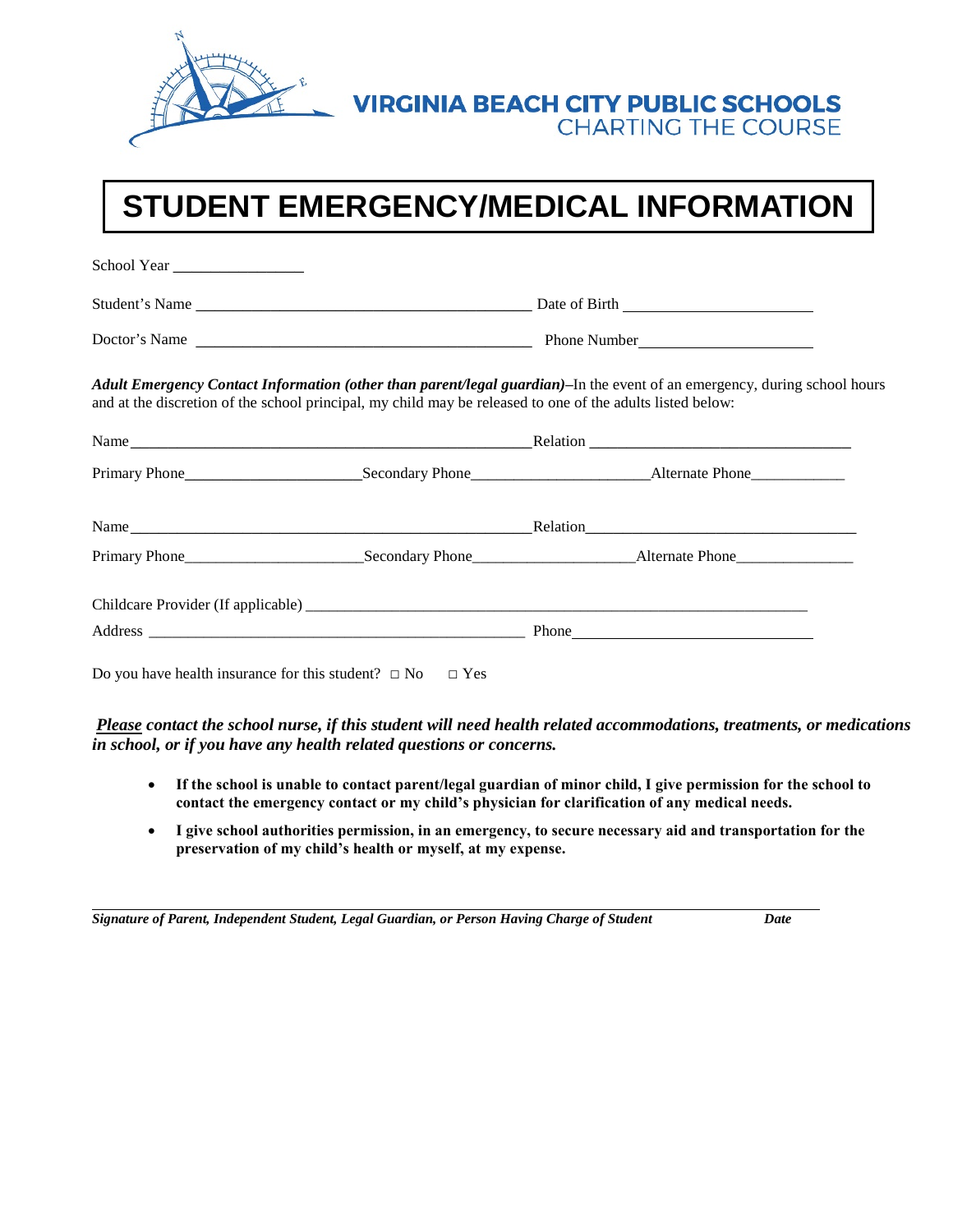

# **VIRGINIA BEACH CITY PUBLIC SCHOOLS<br>CHARTING THE COURSE**

# **STUDENT EMERGENCY/MEDICAL INFORMATION**

| School Year |                                                                                                            |                                                                                                                          |  |  |
|-------------|------------------------------------------------------------------------------------------------------------|--------------------------------------------------------------------------------------------------------------------------|--|--|
|             |                                                                                                            |                                                                                                                          |  |  |
|             |                                                                                                            |                                                                                                                          |  |  |
|             | and at the discretion of the school principal, my child may be released to one of the adults listed below: | Adult Emergency Contact Information (other than parent/legal guardian)-In the event of an emergency, during school hours |  |  |
|             |                                                                                                            |                                                                                                                          |  |  |
|             |                                                                                                            |                                                                                                                          |  |  |
|             |                                                                                                            |                                                                                                                          |  |  |
|             |                                                                                                            |                                                                                                                          |  |  |
|             |                                                                                                            |                                                                                                                          |  |  |
|             |                                                                                                            |                                                                                                                          |  |  |
|             | Do you have health insurance for this student? $\Box$ No $\Box$ Yes                                        |                                                                                                                          |  |  |

 *Please contact the school nurse, if this student will need health related accommodations, treatments, or medications in school, or if you have any health related questions or concerns.* 

- If the school is unable to contact parent/legal guardian of minor child, I give permission for the school to  **contact the emergency contact or my child's physician for clarification of any medical needs.**
- **I give school authorities permission, in an emergency, to secure necessary aid and transportation for the preservation of my child's health or myself, at my expense.** f the school is unable to<br>ontact the emergency co<br>give school authorities p<br>reservation of my child'

 *Signature of Parent, Independent Student, Legal Guardian, or Person Having Charge of Student Date*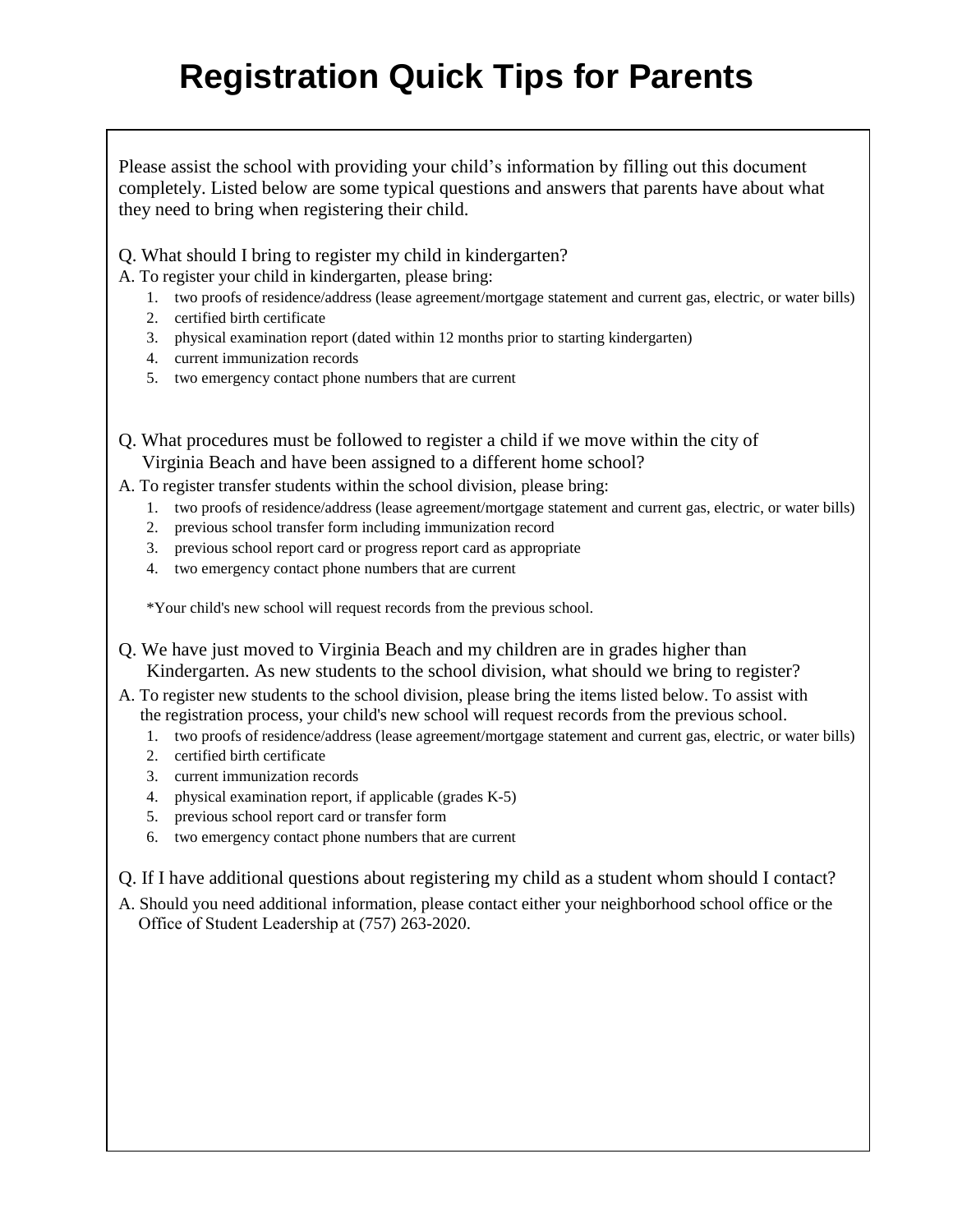# **Registration Quick Tips for Parents**

Please assist the school with providing your child's information by filling out this document completely. Listed below are some typical questions and answers that parents have about what they need to bring when registering their child.

Q. What should I bring to register my child in kindergarten?

A. To register your child in kindergarten, please bring:

- 1. two proofs of residence/address (lease agreement/mortgage statement and current gas, electric, or water bills)
- 2. certified birth certificate
- 3. physical examination report (dated within 12 months prior to starting kindergarten)
- 4. current immunization records
- 5. two emergency contact phone numbers that are current
- Q. What procedures must be followed to register a child if we move within the city of Virginia Beach and have been assigned to a different home school?
- A. To register transfer students within the school division, please bring:
	- 1. two proofs of residence/address (lease agreement/mortgage statement and current gas, electric, or water bills)
		- 2. previous school transfer form including immunization record
		- 3. previous school report card or progress report card as appropriate
		- 4. two emergency contact phone numbers that are current

\*Your child's new school will request records from the previous school.

- Q. We have just moved to Virginia Beach and my children are in grades higher than Kindergarten. As new students to the school division, what should we bring to register?
- A. To register new students to the school division, please bring the items listed below. To assist with the registration process, your child's new school will request records from the previous school.
	- 1. two proofs of residence/address (lease agreement/mortgage statement and current gas, electric, or water bills)
	- 2. certified birth certificate
	- 3. current immunization records
	- 4. physical examination report, if applicable (grades K-5)
	- 5. previous school report card or transfer form
	- 6. two emergency contact phone numbers that are current

Q. If I have additional questions about registering my child as a student whom should I contact?

A. Should you need additional information, please contact either your neighborhood school office or the Office of Student Leadership at (757) 263-2020.